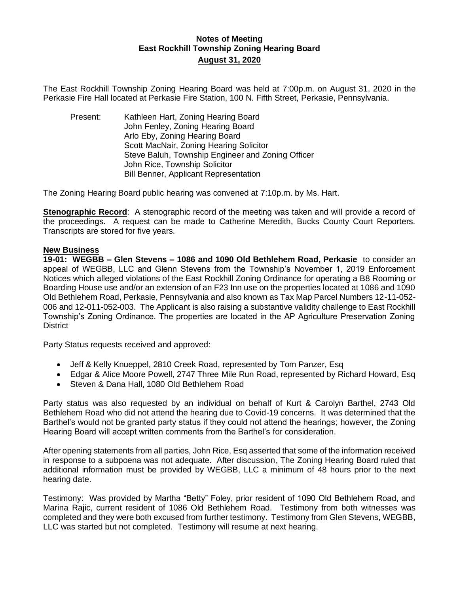## **Notes of Meeting East Rockhill Township Zoning Hearing Board August 31, 2020**

The East Rockhill Township Zoning Hearing Board was held at 7:00p.m. on August 31, 2020 in the Perkasie Fire Hall located at Perkasie Fire Station, 100 N. Fifth Street, Perkasie, Pennsylvania.

Present: Kathleen Hart, Zoning Hearing Board John Fenley, Zoning Hearing Board Arlo Eby, Zoning Hearing Board Scott MacNair, Zoning Hearing Solicitor Steve Baluh, Township Engineer and Zoning Officer John Rice, Township Solicitor Bill Benner, Applicant Representation

The Zoning Hearing Board public hearing was convened at 7:10p.m. by Ms. Hart.

**Stenographic Record**: A stenographic record of the meeting was taken and will provide a record of the proceedings. A request can be made to Catherine Meredith, Bucks County Court Reporters. Transcripts are stored for five years.

#### **New Business**

**19-01: WEGBB – Glen Stevens – 1086 and 1090 Old Bethlehem Road, Perkasie** to consider an appeal of WEGBB, LLC and Glenn Stevens from the Township's November 1, 2019 Enforcement Notices which alleged violations of the East Rockhill Zoning Ordinance for operating a B8 Rooming or Boarding House use and/or an extension of an F23 Inn use on the properties located at 1086 and 1090 Old Bethlehem Road, Perkasie, Pennsylvania and also known as Tax Map Parcel Numbers 12-11-052- 006 and 12-011-052-003. The Applicant is also raising a substantive validity challenge to East Rockhill Township's Zoning Ordinance. The properties are located in the AP Agriculture Preservation Zoning **District** 

Party Status requests received and approved:

- Jeff & Kelly Knueppel, 2810 Creek Road, represented by Tom Panzer, Esq
- Edgar & Alice Moore Powell, 2747 Three Mile Run Road, represented by Richard Howard, Esq
- Steven & Dana Hall, 1080 Old Bethlehem Road

Party status was also requested by an individual on behalf of Kurt & Carolyn Barthel, 2743 Old Bethlehem Road who did not attend the hearing due to Covid-19 concerns. It was determined that the Barthel's would not be granted party status if they could not attend the hearings; however, the Zoning Hearing Board will accept written comments from the Barthel's for consideration.

After opening statements from all parties, John Rice, Esq asserted that some of the information received in response to a subpoena was not adequate. After discussion, The Zoning Hearing Board ruled that additional information must be provided by WEGBB, LLC a minimum of 48 hours prior to the next hearing date.

Testimony: Was provided by Martha "Betty" Foley, prior resident of 1090 Old Bethlehem Road, and Marina Rajic, current resident of 1086 Old Bethlehem Road. Testimony from both witnesses was completed and they were both excused from further testimony. Testimony from Glen Stevens, WEGBB, LLC was started but not completed. Testimony will resume at next hearing.